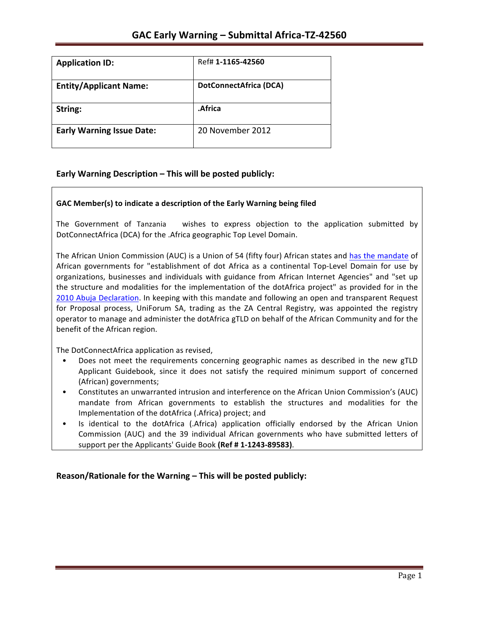| <b>Application ID:</b>           | Ref# 1-1165-42560      |
|----------------------------------|------------------------|
| <b>Entity/Applicant Name:</b>    | DotConnectAfrica (DCA) |
| String:                          | .Africa                |
| <b>Early Warning Issue Date:</b> | 20 November 2012       |

### **Early Warning Description – This will be posted publicly:**

### GAC Member(s) to indicate a description of the Early Warning being filed

The Government of Tanzania a wishes to express objection to the application submitted by DotConnectAfrica (DCA) for the .Africa geographic Top Level Domain.

The African Union Commission (AUC) is a Union of 54 (fifty four) African states and has the mandate of African governments for "establishment of dot Africa as a continental Top-Level Domain for use by organizations, businesses and individuals with guidance from African Internet Agencies" and "set up the structure and modalities for the implementation of the dotAfrica project" as provided for in the 2010 Abuja Declaration. In keeping with this mandate and following an open and transparent Request for Proposal process, UniForum SA, trading as the ZA Central Registry, was appointed the registry operator to manage and administer the dotAfrica gTLD on behalf of the African Community and for the benefit of the African region.

The DotConnectAfrica application as revised,

- Does not meet the requirements concerning geographic names as described in the new gTLD Applicant Guidebook, since it does not satisfy the required minimum support of concerned (African) governments;
- Constitutes an unwarranted intrusion and interference on the African Union Commission's (AUC) mandate from African governments to establish the structures and modalities for the Implementation of the dotAfrica (.Africa) project; and
- Is identical to the dotAfrica (.Africa) application officially endorsed by the African Union Commission (AUC) and the 39 individual African governments who have submitted letters of support per the Applicants' Guide Book (Ref # 1-1243-89583).

**Reason/Rationale for the Warning – This will be posted publicly:**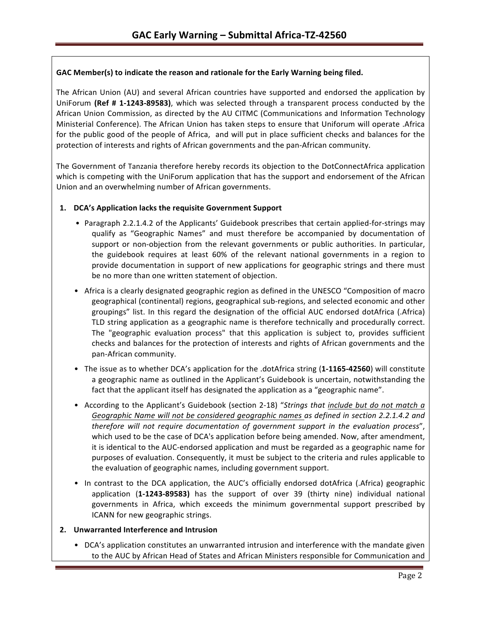### GAC Member(s) to indicate the reason and rationale for the Early Warning being filed.

The African Union (AU) and several African countries have supported and endorsed the application by UniForum (Ref # 1-1243-89583), which was selected through a transparent process conducted by the African Union Commission, as directed by the AU CITMC (Communications and Information Technology Ministerial Conference). The African Union has taken steps to ensure that Uniforum will operate .Africa for the public good of the people of Africa, and will put in place sufficient checks and balances for the protection of interests and rights of African governments and the pan-African community.

The Government of Tanzania therefore hereby records its objection to the DotConnectAfrica application which is competing with the UniForum application that has the support and endorsement of the African Union and an overwhelming number of African governments.

### 1. **DCA's Application lacks the requisite Government Support**

- Paragraph 2.2.1.4.2 of the Applicants' Guidebook prescribes that certain applied-for-strings may qualify as "Geographic Names" and must therefore be accompanied by documentation of support or non-objection from the relevant governments or public authorities. In particular, the guidebook requires at least 60% of the relevant national governments in a region to provide documentation in support of new applications for geographic strings and there must be no more than one written statement of objection.
- Africa is a clearly designated geographic region as defined in the UNESCO "Composition of macro geographical (continental) regions, geographical sub-regions, and selected economic and other groupings" list. In this regard the designation of the official AUC endorsed dotAfrica (.Africa) TLD string application as a geographic name is therefore technically and procedurally correct. The "geographic evaluation process" that this application is subject to, provides sufficient checks and balances for the protection of interests and rights of African governments and the pan-African community.
- The issue as to whether DCA's application for the .dotAfrica string (1-1165-42560) will constitute a geographic name as outlined in the Applicant's Guidebook is uncertain, notwithstanding the fact that the applicant itself has designated the application as a "geographic name".
- According to the Applicant's Guidebook (section 2-18) "Strings that include but do not match a Geographic Name will not be considered geographic names as defined in section 2.2.1.4.2 and *therefore will not require documentation of government support in the evaluation process"*, which used to be the case of DCA's application before being amended. Now, after amendment, it is identical to the AUC-endorsed application and must be regarded as a geographic name for purposes of evaluation. Consequently, it must be subject to the criteria and rules applicable to the evaluation of geographic names, including government support.
- In contrast to the DCA application, the AUC's officially endorsed dotAfrica (.Africa) geographic application (1-1243-89583) has the support of over 39 (thirty nine) individual national governments in Africa, which exceeds the minimum governmental support prescribed by ICANN for new geographic strings.

### **2. Unwarranted Interference and Intrusion**

• DCA's application constitutes an unwarranted intrusion and interference with the mandate given to the AUC by African Head of States and African Ministers responsible for Communication and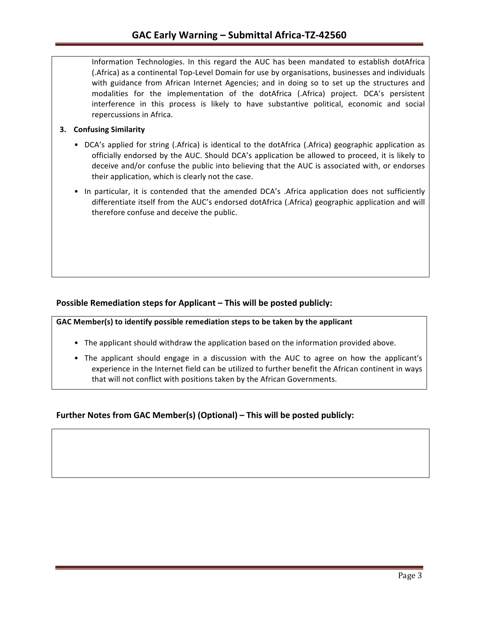Information Technologies. In this regard the AUC has been mandated to establish dotAfrica (.Africa) as a continental Top-Level Domain for use by organisations, businesses and individuals with guidance from African Internet Agencies; and in doing so to set up the structures and modalities for the implementation of the dotAfrica (.Africa) project. DCA's persistent interference in this process is likely to have substantive political, economic and social repercussions in Africa.

### **3.** Confusing Similarity

- DCA's applied for string (.Africa) is identical to the dotAfrica (.Africa) geographic application as officially endorsed by the AUC. Should DCA's application be allowed to proceed, it is likely to deceive and/or confuse the public into believing that the AUC is associated with, or endorses their application, which is clearly not the case.
- In particular, it is contended that the amended DCA's .Africa application does not sufficiently differentiate itself from the AUC's endorsed dotAfrica (.Africa) geographic application and will therefore confuse and deceive the public.

### **Possible Remediation steps for Applicant – This will be posted publicly:**

GAC Member(s) to identify possible remediation steps to be taken by the applicant

- The applicant should withdraw the application based on the information provided above.
- The applicant should engage in a discussion with the AUC to agree on how the applicant's experience in the Internet field can be utilized to further benefit the African continent in ways that will not conflict with positions taken by the African Governments.

### **Further Notes from GAC Member(s) (Optional) – This will be posted publicly:**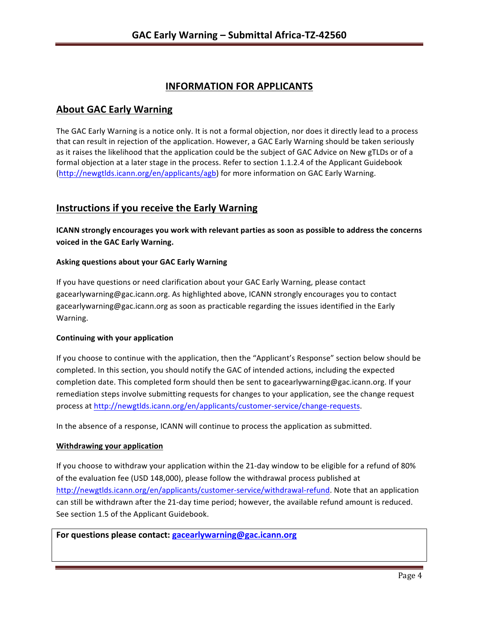# **INFORMATION FOR APPLICANTS**

## **About GAC Early Warning**

The GAC Early Warning is a notice only. It is not a formal objection, nor does it directly lead to a process that can result in rejection of the application. However, a GAC Early Warning should be taken seriously as it raises the likelihood that the application could be the subject of GAC Advice on New gTLDs or of a formal objection at a later stage in the process. Refer to section 1.1.2.4 of the Applicant Guidebook (http://newgtlds.icann.org/en/applicants/agb) for more information on GAC Early Warning.

## **Instructions if you receive the Early Warning**

**ICANN** strongly encourages you work with relevant parties as soon as possible to address the concerns **voiced in the GAC Early Warning.** 

### **Asking questions about your GAC Early Warning**

If you have questions or need clarification about your GAC Early Warning, please contact gacearlywarning@gac.icann.org. As highlighted above, ICANN strongly encourages you to contact gacearlywarning@gac.icann.org as soon as practicable regarding the issues identified in the Early Warning. 

### **Continuing with your application**

If you choose to continue with the application, then the "Applicant's Response" section below should be completed. In this section, you should notify the GAC of intended actions, including the expected completion date. This completed form should then be sent to gacearlywarning@gac.icann.org. If your remediation steps involve submitting requests for changes to your application, see the change request process at http://newgtlds.icann.org/en/applicants/customer-service/change-requests.

In the absence of a response, ICANN will continue to process the application as submitted.

#### **Withdrawing your application**

If you choose to withdraw your application within the 21-day window to be eligible for a refund of 80% of the evaluation fee (USD 148,000), please follow the withdrawal process published at http://newgtlds.icann.org/en/applicants/customer-service/withdrawal-refund. Note that an application can still be withdrawn after the 21-day time period; however, the available refund amount is reduced. See section 1.5 of the Applicant Guidebook.

For questions please contact: gacearlywarning@gac.icann.org